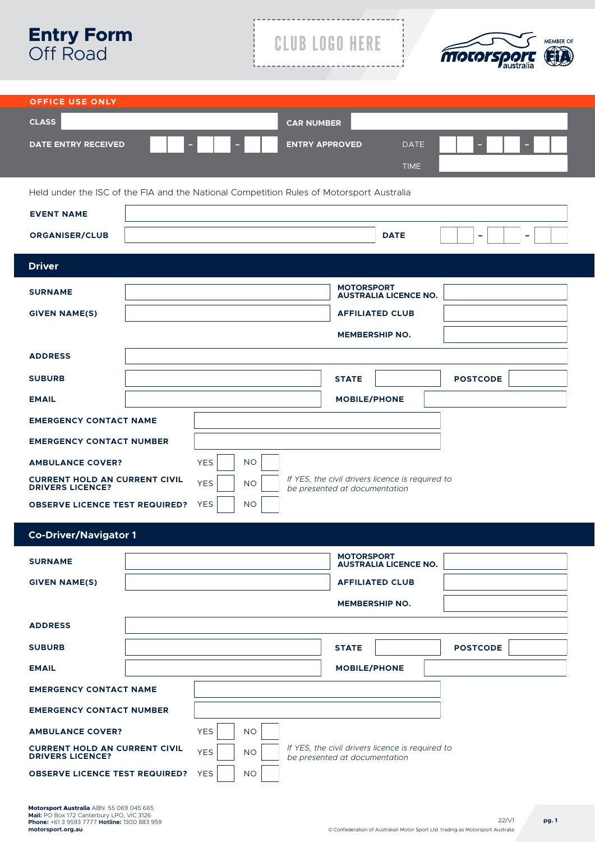| <b>Entry Form</b><br><b>Off Road</b>                                                                                                                                                                    | <b>CLUB LOGO HERE</b><br><b>MEMBER OF</b><br><b>MOTORS</b>                                                                                                         |
|---------------------------------------------------------------------------------------------------------------------------------------------------------------------------------------------------------|--------------------------------------------------------------------------------------------------------------------------------------------------------------------|
| <b>OFFICE USE ONLY</b><br><b>CLASS</b><br><b>DATE ENTRY RECEIVED</b>                                                                                                                                    | <b>CAR NUMBER</b><br><b>ENTRY APPROVED</b><br><b>DATE</b><br><b>TIME</b>                                                                                           |
| <b>EVENT NAME</b><br><b>ORGANISER/CLUB</b>                                                                                                                                                              | Held under the ISC of the FIA and the National Competition Rules of Motorsport Australia<br><b>DATE</b><br>-                                                       |
| <b>Driver</b><br><b>SURNAME</b><br><b>GIVEN NAME(S)</b>                                                                                                                                                 | <b>MOTORSPORT</b><br><b>AUSTRALIA LICENCE NO.</b><br><b>AFFILIATED CLUB</b><br><b>MEMBERSHIP NO.</b>                                                               |
| <b>ADDRESS</b><br><b>SUBURB</b><br><b>EMAIL</b><br><b>EMERGENCY CONTACT NAME</b>                                                                                                                        | <b>STATE</b><br><b>POSTCODE</b><br><b>MOBILE/PHONE</b>                                                                                                             |
| <b>EMERGENCY CONTACT NUMBER</b><br><b>AMBULANCE COVER?</b><br><b>CURRENT HOLD AN CURRENT CIVIL</b><br><b>DRIVERS LICENCE?</b><br><b>OBSERVE LICENCE TEST REQUIRED?</b>                                  | <b>YES</b><br><b>NO</b><br>If YES, the civil drivers licence is required to<br><b>NO</b><br><b>YES</b><br>be presented at documentation<br><b>YES</b><br><b>NO</b> |
| <b>Co-Driver/Navigator 1</b><br><b>SURNAME</b>                                                                                                                                                          | <b>MOTORSPORT</b>                                                                                                                                                  |
| <b>GIVEN NAME(S)</b>                                                                                                                                                                                    | <b>AUSTRALIA LICENCE NO.</b><br><b>AFFILIATED CLUB</b><br><b>MEMBERSHIP NO.</b>                                                                                    |
| <b>ADDRESS</b><br><b>SUBURB</b><br><b>EMAIL</b>                                                                                                                                                         | <b>POSTCODE</b><br><b>STATE</b><br><b>MOBILE/PHONE</b>                                                                                                             |
| <b>EMERGENCY CONTACT NAME</b><br><b>EMERGENCY CONTACT NUMBER</b><br><b>AMBULANCE COVER?</b><br><b>CURRENT HOLD AN CURRENT CIVIL</b><br><b>DRIVERS LICENCE?</b><br><b>OBSERVE LICENCE TEST REQUIRED?</b> | <b>YES</b><br><b>NO</b><br>If YES, the civil drivers licence is required to<br><b>YES</b><br><b>NO</b><br>be presented at documentation<br><b>NO</b><br><b>YES</b> |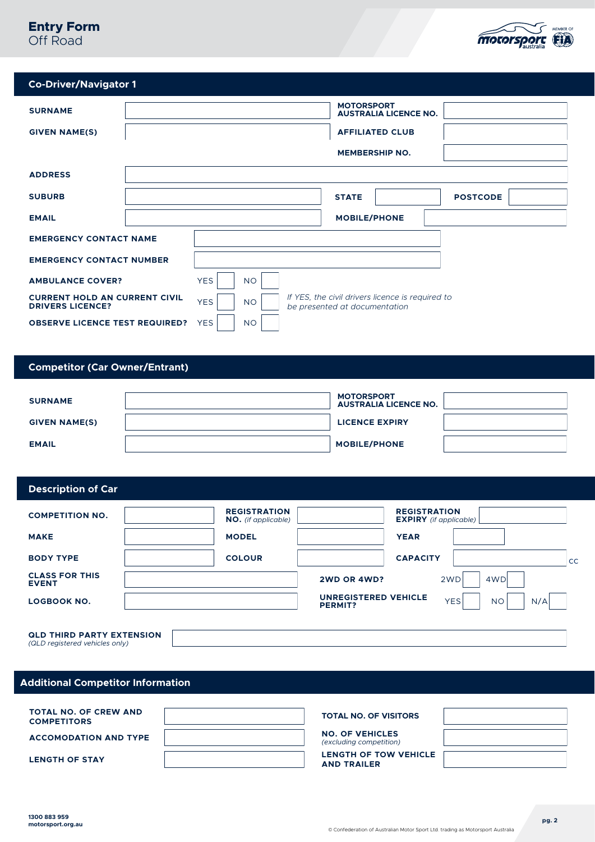# **Entry Form** Off Road



| <b>Co-Driver/Navigator 1</b> |
|------------------------------|
|                              |

| <b>SURNAME</b><br><b>GIVEN NAME(S)</b>                          |            |           | <b>MOTORSPORT</b>             | <b>AUSTRALIA LICENCE NO.</b><br><b>AFFILIATED CLUB</b><br><b>MEMBERSHIP NO.</b> |                 |
|-----------------------------------------------------------------|------------|-----------|-------------------------------|---------------------------------------------------------------------------------|-----------------|
| <b>ADDRESS</b>                                                  |            |           |                               |                                                                                 |                 |
| <b>SUBURB</b>                                                   |            |           | <b>STATE</b>                  |                                                                                 | <b>POSTCODE</b> |
| <b>EMAIL</b>                                                    |            |           | <b>MOBILE/PHONE</b>           |                                                                                 |                 |
| <b>EMERGENCY CONTACT NAME</b>                                   |            |           |                               |                                                                                 |                 |
| <b>EMERGENCY CONTACT NUMBER</b>                                 |            |           |                               |                                                                                 |                 |
| <b>AMBULANCE COVER?</b>                                         | <b>YES</b> | <b>NO</b> |                               |                                                                                 |                 |
| <b>CURRENT HOLD AN CURRENT CIVIL</b><br><b>DRIVERS LICENCE?</b> | <b>YES</b> | <b>NO</b> | be presented at documentation | If YES, the civil drivers licence is required to                                |                 |
| <b>OBSERVE LICENCE TEST REQUIRED?</b>                           | <b>YES</b> | <b>NO</b> |                               |                                                                                 |                 |

# **Competitor (Car Owner/Entrant)**

| <b>SURNAME</b>       | <b>MOTORSPORT</b><br><b>AUSTRALIA LICENCE NO.</b> |  |
|----------------------|---------------------------------------------------|--|
| <b>GIVEN NAME(S)</b> | <b>LICENCE EXPIRY</b>                             |  |
| <b>EMAIL</b>         | <b>MOBILE/PHONE</b>                               |  |

## **Description of Car**

| <b>COMPETITION NO.</b>                                             | <b>REGISTRATION</b><br>NO. (if applicable) |                                               | <b>REGISTRATION</b><br><b>EXPIRY</b> (if applicable) |    |
|--------------------------------------------------------------------|--------------------------------------------|-----------------------------------------------|------------------------------------------------------|----|
| <b>MAKE</b>                                                        | <b>MODEL</b>                               | <b>YEAR</b>                                   |                                                      |    |
| <b>BODY TYPE</b>                                                   | <b>COLOUR</b>                              | <b>CAPACITY</b>                               |                                                      | cc |
| <b>CLASS FOR THIS</b><br><b>EVENT</b>                              |                                            | 2WD OR 4WD?                                   | 4WD<br>2WD                                           |    |
| <b>LOGBOOK NO.</b>                                                 |                                            | <b>UNREGISTERED VEHICLE</b><br><b>PERMIT?</b> | <b>YES</b><br>N/A<br><b>NO</b>                       |    |
| <b>QLD THIRD PARTY EXTENSION</b><br>(QLD registered vehicles only) |                                            |                                               |                                                      |    |

**1300 883 959**

# **Additional Competitor Information**

| <b>TOTAL NO. OF CREW AND</b><br><b>COMPETITORS</b> |  |
|----------------------------------------------------|--|
| <b>ACCOMODATION AND TYPE</b>                       |  |
| <b>LENGTH OF STAY</b>                              |  |

## **TOTAL NO. OF VISITORS**

| <b>NO. OF VEHICLES</b>         |  |
|--------------------------------|--|
| <i>(excluding competition)</i> |  |

**LENGTH OF TOW VEHICLE AND TRAILER**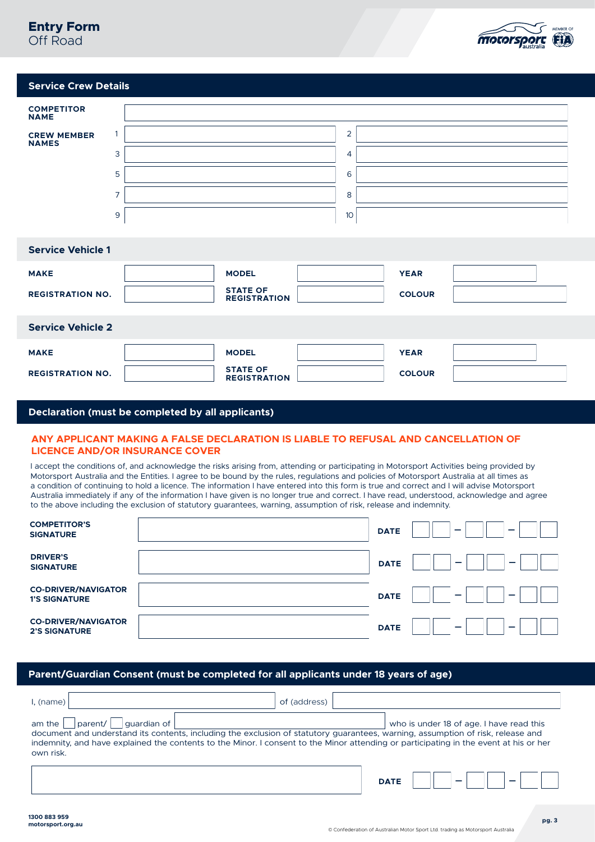# **Entry Form** Off Road



## **Service Crew Details**

| <b>COMPETITOR</b><br><b>NAME</b>   |                |                                        |                 |               |  |
|------------------------------------|----------------|----------------------------------------|-----------------|---------------|--|
| <b>CREW MEMBER</b><br><b>NAMES</b> | 1              |                                        | $\overline{2}$  |               |  |
|                                    | 3              |                                        | 4               |               |  |
|                                    | 5              |                                        | 6               |               |  |
|                                    | $\overline{7}$ |                                        | 8               |               |  |
|                                    | 9              |                                        | 10 <sup>°</sup> |               |  |
|                                    |                |                                        |                 |               |  |
| <b>Service Vehicle 1</b>           |                |                                        |                 |               |  |
| <b>MAKE</b>                        |                | <b>MODEL</b>                           |                 | <b>YEAR</b>   |  |
| <b>REGISTRATION NO.</b>            |                | <b>STATE OF</b><br><b>REGISTRATION</b> |                 | <b>COLOUR</b> |  |
|                                    |                |                                        |                 |               |  |
| <b>Service Vehicle 2</b>           |                |                                        |                 |               |  |
| <b>MAKE</b>                        |                | <b>MODEL</b>                           |                 | <b>YEAR</b>   |  |
| <b>REGISTRATION NO.</b>            |                | <b>STATE OF</b><br><b>REGISTRATION</b> |                 | <b>COLOUR</b> |  |

## **Declaration (must be completed by all applicants)**

## **ANY APPLICANT MAKING A FALSE DECLARATION IS LIABLE TO REFUSAL AND CANCELLATION OF LICENCE AND/OR INSURANCE COVER**

I accept the conditions of, and acknowledge the risks arising from, attending or participating in Motorsport Activities being provided by Motorsport Australia and the Entities. I agree to be bound by the rules, regulations and policies of Motorsport Australia at all times as a condition of continuing to hold a licence. The information I have entered into this form is true and correct and I will advise Motorsport Australia immediately if any of the information I have given is no longer true and correct. I have read, understood, acknowledge and agree to the above including the exclusion of statutory guarantees, warning, assumption of risk, release and indemnity.

| <b>COMPETITOR'S</b><br><b>SIGNATURE</b>            | <b>DATE</b><br>-<br>-                        |
|----------------------------------------------------|----------------------------------------------|
| <b>DRIVER'S</b><br><b>SIGNATURE</b>                | <b>DATE</b><br>$\overline{\phantom{0}}$<br>— |
| <b>CO-DRIVER/NAVIGATOR</b><br><b>1'S SIGNATURE</b> | <b>DATE</b><br>-                             |
| <b>CO-DRIVER/NAVIGATOR</b><br><b>2'S SIGNATURE</b> | <b>DATE</b><br>_<br>_                        |

## **Parent/Guardian Consent (must be completed for all applicants under 18 years of age)**

| l, (name)                                                                                                                                                                                                                                                                                                                                       | of (address)                             |
|-------------------------------------------------------------------------------------------------------------------------------------------------------------------------------------------------------------------------------------------------------------------------------------------------------------------------------------------------|------------------------------------------|
| parent/  <br>$\vert$   guardian of $\vert$<br>$am$ the<br>document and understand its contents, including the exclusion of statutory quarantees, warning, assumption of risk, release and<br>indemnity, and have explained the contents to the Minor. I consent to the Minor attending or participating in the event at his or her<br>own risk. | who is under 18 of age. I have read this |
|                                                                                                                                                                                                                                                                                                                                                 | <b>DATE</b>                              |